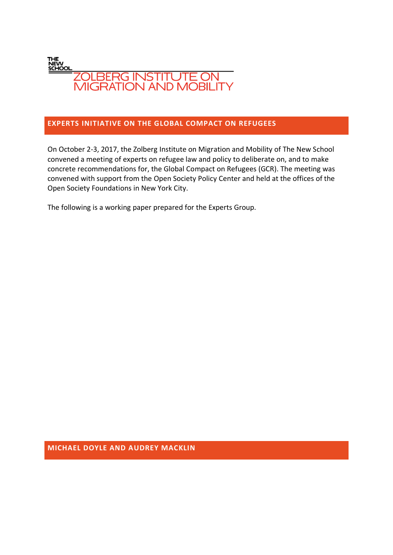

#### **EXPERTS INITIATIVE ON THE GLOBAL COMPACT ON REFUGEES**

On October 2-3, 2017, the Zolberg Institute on Migration and Mobility of The New School convened a meeting of experts on refugee law and policy to deliberate on, and to make concrete recommendations for, the Global Compact on Refugees (GCR). The meeting was convened with support from the Open Society Policy Center and held at the offices of the Open Society Foundations in New York City.

The following is a working paper prepared for the Experts Group.

**MICHAEL DOYLE AND AUDREY MACKLIN**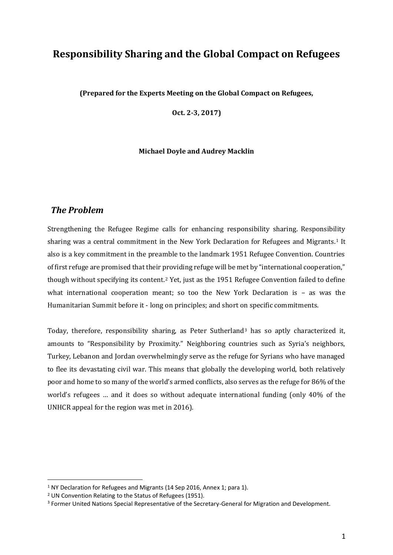# **Responsibility Sharing and the Global Compact on Refugees**

**(Prepared for the Experts Meeting on the Global Compact on Refugees,** 

**Oct. 2-3, 2017)**

#### **Michael Doyle and Audrey Macklin**

#### *The Problem*

Strengthening the Refugee Regime calls for enhancing responsibility sharing. Responsibility sharing was a central commitment in the New York Declaration for Refugees and Migrants.<sup>1</sup> It also is a key commitment in the preamble to the landmark 1951 Refugee Convention. Countries of first refuge are promised that their providing refuge will be met by "international cooperation," though without specifying its content.<sup>2</sup> Yet, just as the 1951 Refugee Convention failed to define what international cooperation meant; so too the New York Declaration is – as was the Humanitarian Summit before it - long on principles; and short on specific commitments.

Today, therefore, responsibility sharing, as Peter Sutherland<sup>3</sup> has so aptly characterized it, amounts to "Responsibility by Proximity." Neighboring countries such as Syria's neighbors, Turkey, Lebanon and Jordan overwhelmingly serve as the refuge for Syrians who have managed to flee its devastating civil war. This means that globally the developing world, both relatively poor and home to so many of the world's armed conflicts, also serves as the refuge for 86% of the world's refugees … and it does so without adequate international funding (only 40% of the UNHCR appeal for the region was met in 2016).

<sup>&</sup>lt;sup>1</sup> NY Declaration for Refugees and Migrants (14 Sep 2016, Annex 1; para 1).

<sup>2</sup> UN Convention Relating to the Status of Refugees (1951).

<sup>3</sup> Former United Nations Special Representative of the Secretary-General for Migration and Development.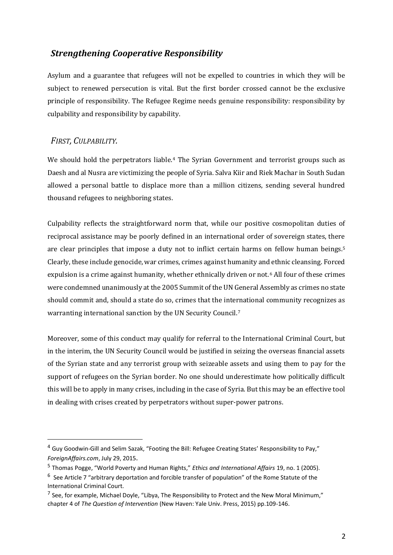# *Strengthening Cooperative Responsibility*

Asylum and a guarantee that refugees will not be expelled to countries in which they will be subject to renewed persecution is vital. But the first border crossed cannot be the exclusive principle of responsibility. The Refugee Regime needs genuine responsibility: responsibility by culpability and responsibility by capability.

### *FIRST, CULPABILITY.*

.

We should hold the perpetrators liable.<sup>4</sup> The Syrian Government and terrorist groups such as Daesh and al Nusra are victimizing the people of Syria. Salva Kiir and Riek Machar in South Sudan allowed a personal battle to displace more than a million citizens, sending several hundred thousand refugees to neighboring states.

Culpability reflects the straightforward norm that, while our positive cosmopolitan duties of reciprocal assistance may be poorly defined in an international order of sovereign states, there are clear principles that impose a duty not to inflict certain harms on fellow human beings.<sup>5</sup> Clearly, these include genocide, war crimes, crimes against humanity and ethnic cleansing. Forced expulsion is a crime against humanity, whether ethnically driven or not.<sup>6</sup> All four of these crimes were condemned unanimously at the 2005 Summit of the UN General Assembly as crimes no state should commit and, should a state do so, crimes that the international community recognizes as warranting international sanction by the UN Security Council.<sup>7</sup>

Moreover, some of this conduct may qualify for referral to the International Criminal Court, but in the interim, the UN Security Council would be justified in seizing the overseas financial assets of the Syrian state and any terrorist group with seizeable assets and using them to pay for the support of refugees on the Syrian border. No one should underestimate how politically difficult this will be to apply in many crises, including in the case of Syria. But this may be an effective tool in dealing with crises created by perpetrators without super-power patrons.

<sup>4</sup> Guy Goodwin-Gill and Selim Sazak, "Footing the Bill: Refugee Creating States' Responsibility to Pay," *ForeignAffairs.com*, July 29, 2015.

<sup>5</sup> Thomas Pogge, "World Poverty and Human Rights," *Ethics and International Affairs* 19, no. 1 (2005).

 $6$  See Article 7 "arbitrary deportation and forcible transfer of population" of the Rome Statute of the International Criminal Court.

<sup>&</sup>lt;sup>7</sup> See, for example, Michael Doyle, "Libya, The Responsibility to Protect and the New Moral Minimum," chapter 4 of *The Question of Intervention* (New Haven: Yale Univ. Press, 2015) pp.109-146.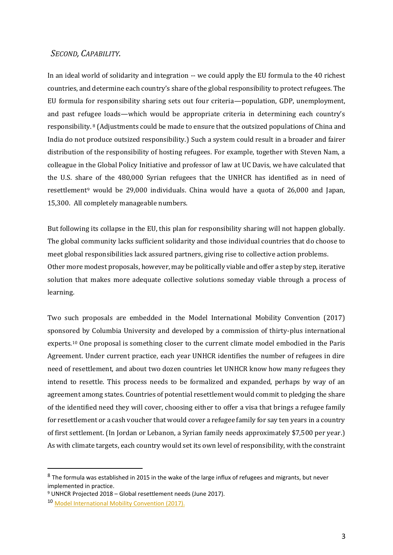#### *SECOND, CAPABILITY.*

In an ideal world of solidarity and integration -- we could apply the EU formula to the 40 richest countries, and determine each country's share of the global responsibility to protect refugees. The EU formula for responsibility sharing sets out four criteria—population, GDP, unemployment, and past refugee loads—which would be appropriate criteria in determining each country's responsibility. <sup>8</sup> (Adjustments could be made to ensure that the outsized populations of China and India do not produce outsized responsibility.) Such a system could result in a broader and fairer distribution of the responsibility of hosting refugees. For example, together with Steven Nam, a colleague in the Global Policy Initiative and professor of law at UC Davis, we have calculated that the U.S. share of the 480,000 Syrian refugees that the UNHCR has identified as in need of resettlement<sup>9</sup> would be 29,000 individuals. China would have a quota of 26,000 and Japan, 15,300. All completely manageable numbers.

But following its collapse in the EU, this plan for responsibility sharing will not happen globally. The global community lacks sufficient solidarity and those individual countries that do choose to meet global responsibilities lack assured partners, giving rise to collective action problems. Other more modest proposals, however, may be politically viable and offer a step by step, iterative solution that makes more adequate collective solutions someday viable through a process of learning.

Two such proposals are embedded in the Model International Mobility Convention (2017) sponsored by Columbia University and developed by a commission of thirty-plus international experts.<sup>10</sup> One proposal is something closer to the current climate model embodied in the Paris Agreement. Under current practice, each year UNHCR identifies the number of refugees in dire need of resettlement, and about two dozen countries let UNHCR know how many refugees they intend to resettle. This process needs to be formalized and expanded, perhaps by way of an agreement among states. Countries of potential resettlement would commit to pledging the share of the identified need they will cover, choosing either to offer a visa that brings a refugee family for resettlement or a cash voucher that would cover a refugee family for say ten years in a country of first settlement. (In Jordan or Lebanon, a Syrian family needs approximately \$7,500 per year.) As with climate targets, each country would set its own level of responsibility, with the constraint

<sup>&</sup>lt;sup>8</sup> The formula was established in 2015 in the wake of the large influx of refugees and migrants, but never implemented in practice.

<sup>9</sup> UNHCR Projected 2018 – Global resettlement needs (June 2017).

<sup>10</sup> [Model International Mobility Convention \(2017\).](http://globalpolicy.columbia.edu/mobility-convention)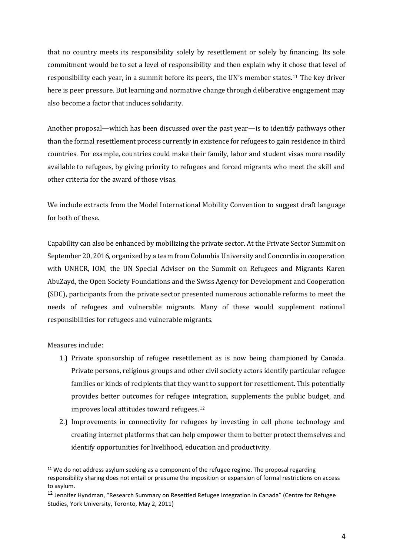that no country meets its responsibility solely by resettlement or solely by financing. Its sole commitment would be to set a level of responsibility and then explain why it chose that level of responsibility each year, in a summit before its peers, the UN's member states.<sup>11</sup> The key driver here is peer pressure. But learning and normative change through deliberative engagement may also become a factor that induces solidarity.

Another proposal—which has been discussed over the past year—is to identify pathways other than the formal resettlement process currently in existence for refugees to gain residence in third countries. For example, countries could make their family, labor and student visas more readily available to refugees, by giving priority to refugees and forced migrants who meet the skill and other criteria for the award of those visas.

We include extracts from the Model International Mobility Convention to suggest draft language for both of these.

Capability can also be enhanced by mobilizing the private sector. At the Private Sector Summit on September 20, 2016, organized by a team from Columbia University and Concordia in cooperation with UNHCR, IOM, the UN Special Adviser on the Summit on Refugees and Migrants Karen AbuZayd, the Open Society Foundations and the Swiss Agency for Development and Cooperation (SDC), participants from the private sector presented numerous actionable reforms to meet the needs of refugees and vulnerable migrants. Many of these would supplement national responsibilities for refugees and vulnerable migrants.

Measures include:

- 1.) Private sponsorship of refugee resettlement as is now being championed by Canada. Private persons, religious groups and other civil society actors identify particular refugee families or kinds of recipients that they want to support for resettlement. This potentially provides better outcomes for refugee integration, supplements the public budget, and improves local attitudes toward refugees.<sup>12</sup>
- 2.) Improvements in connectivity for refugees by investing in cell phone technology and creating internet platforms that can help empower them to better protect themselves and identify opportunities for livelihood, education and productivity.

<sup>&</sup>lt;sup>11</sup> We do not address asylum seeking as a component of the refugee regime. The proposal regarding responsibility sharing does not entail or presume the imposition or expansion of formal restrictions on access to asylum.

<sup>12</sup> Jennifer Hyndman, "Research Summary on Resettled Refugee Integration in Canada" (Centre for Refugee Studies, York University, Toronto, May 2, 2011)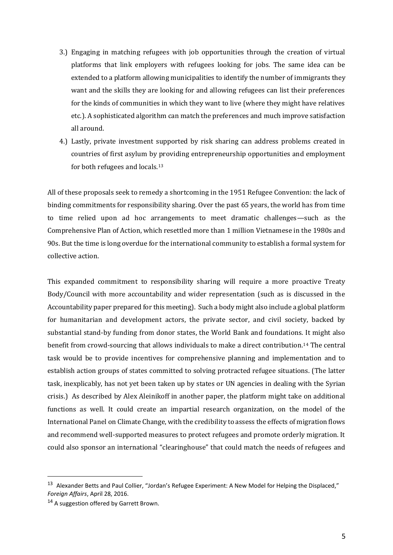- 3.) Engaging in matching refugees with job opportunities through the creation of virtual platforms that link employers with refugees looking for jobs. The same idea can be extended to a platform allowing municipalities to identify the number of immigrants they want and the skills they are looking for and allowing refugees can list their preferences for the kinds of communities in which they want to live (where they might have relatives etc.). A sophisticated algorithm can match the preferences and much improve satisfaction all around.
- 4.) Lastly, private investment supported by risk sharing can address problems created in countries of first asylum by providing entrepreneurship opportunities and employment for both refugees and locals.<sup>13</sup>

All of these proposals seek to remedy a shortcoming in the 1951 Refugee Convention: the lack of binding commitments for responsibility sharing. Over the past 65 years, the world has from time to time relied upon ad hoc arrangements to meet dramatic challenges—such as the Comprehensive Plan of Action, which resettled more than 1 million Vietnamese in the 1980s and 90s. But the time is long overdue for the international community to establish a formal system for collective action.

This expanded commitment to responsibility sharing will require a more proactive Treaty Body/Council with more accountability and wider representation (such as is discussed in the Accountability paper prepared for this meeting). Such a body might also include a global platform for humanitarian and development actors, the private sector, and civil society, backed by substantial stand-by funding from donor states, the World Bank and foundations. It might also benefit from crowd-sourcing that allows individuals to make a direct contribution.<sup>14</sup> The central task would be to provide incentives for comprehensive planning and implementation and to establish action groups of states committed to solving protracted refugee situations. (The latter task, inexplicably, has not yet been taken up by states or UN agencies in dealing with the Syrian crisis.) As described by Alex Aleinikoff in another paper, the platform might take on additional functions as well. It could create an impartial research organization, on the model of the International Panel on Climate Change, with the credibility to assess the effects of migration flows and recommend well-supported measures to protect refugees and promote orderly migration. It could also sponsor an international "clearinghouse" that could match the needs of refugees and

.

<sup>&</sup>lt;sup>13</sup> Alexander Betts and Paul Collier, "Jordan's Refugee Experiment: A New Model for Helping the Displaced," *Foreign Affairs*, April 28, 2016.

<sup>&</sup>lt;sup>14</sup> A suggestion offered by Garrett Brown.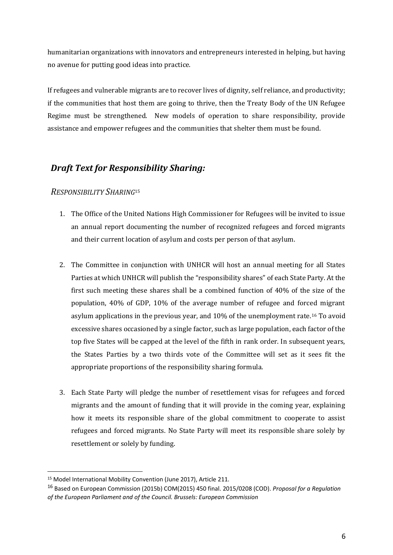humanitarian organizations with innovators and entrepreneurs interested in helping, but having no avenue for putting good ideas into practice.

If refugees and vulnerable migrants are to recover lives of dignity, self reliance, and productivity; if the communities that host them are going to thrive, then the Treaty Body of the UN Refugee Regime must be strengthened. New models of operation to share responsibility, provide assistance and empower refugees and the communities that shelter them must be found.

# *Draft Text for Responsibility Sharing:*

#### *RESPONSIBILITY SHARING*<sup>15</sup>

- 1. The Office of the United Nations High Commissioner for Refugees will be invited to issue an annual report documenting the number of recognized refugees and forced migrants and their current location of asylum and costs per person of that asylum.
- 2. The Committee in conjunction with UNHCR will host an annual meeting for all States Parties at which UNHCR will publish the "responsibility shares" of each State Party. At the first such meeting these shares shall be a combined function of 40% of the size of the population, 40% of GDP, 10% of the average number of refugee and forced migrant asylum applications in the previous year, and 10% of the unemployment rate.<sup>16</sup> To avoid excessive shares occasioned by a single factor, such as large population, each factor of the top five States will be capped at the level of the fifth in rank order. In subsequent years, the States Parties by a two thirds vote of the Committee will set as it sees fit the appropriate proportions of the responsibility sharing formula.
- 3. Each State Party will pledge the number of resettlement visas for refugees and forced migrants and the amount of funding that it will provide in the coming year, explaining how it meets its responsible share of the global commitment to cooperate to assist refugees and forced migrants. No State Party will meet its responsible share solely by resettlement or solely by funding.

.

<sup>&</sup>lt;sup>15</sup> Model International Mobility Convention (June 2017), Article 211.

<sup>16</sup> Based on European Commission (2015b) COM(2015) 450 final. 2015/0208 (COD). *Proposal for a Regulation of the European Parliament and of the Council. Brussels: European Commission*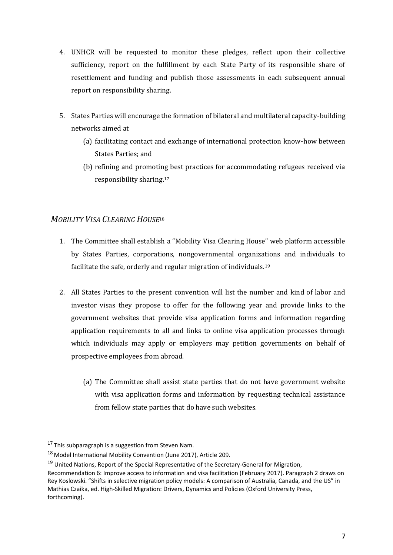- 4. UNHCR will be requested to monitor these pledges, reflect upon their collective sufficiency, report on the fulfillment by each State Party of its responsible share of resettlement and funding and publish those assessments in each subsequent annual report on responsibility sharing.
- 5. States Parties will encourage the formation of bilateral and multilateral capacity-building networks aimed at
	- (a) facilitating contact and exchange of international protection know-how between States Parties; and
	- (b) refining and promoting best practices for accommodating refugees received via responsibility sharing.<sup>17</sup>

## *MOBILITY VISA CLEARING HOUSE*<sup>18</sup>

- 1. The Committee shall establish a "Mobility Visa Clearing House" web platform accessible by States Parties, corporations, nongovernmental organizations and individuals to facilitate the safe, orderly and regular migration of individuals.<sup>19</sup>
- 2. All States Parties to the present convention will list the number and kind of labor and investor visas they propose to offer for the following year and provide links to the government websites that provide visa application forms and information regarding application requirements to all and links to online visa application processes through which individuals may apply or employers may petition governments on behalf of prospective employees from abroad.
	- (a) The Committee shall assist state parties that do not have government website with visa application forms and information by requesting technical assistance from fellow state parties that do have such websites.

<sup>&</sup>lt;sup>17</sup> This subparagraph is a suggestion from Steven Nam.

<sup>18</sup> Model International Mobility Convention (June 2017), Article 209.

<sup>&</sup>lt;sup>19</sup> United Nations, Report of the Special Representative of the Secretary-General for Migration,

Recommendation 6: Improve access to information and visa facilitation (February 2017). Paragraph 2 draws on Rey Koslowski. "Shifts in selective migration policy models: A comparison of Australia, Canada, and the US" in Mathias Czaika, ed. High-Skilled Migration: Drivers, Dynamics and Policies (Oxford University Press, forthcoming).